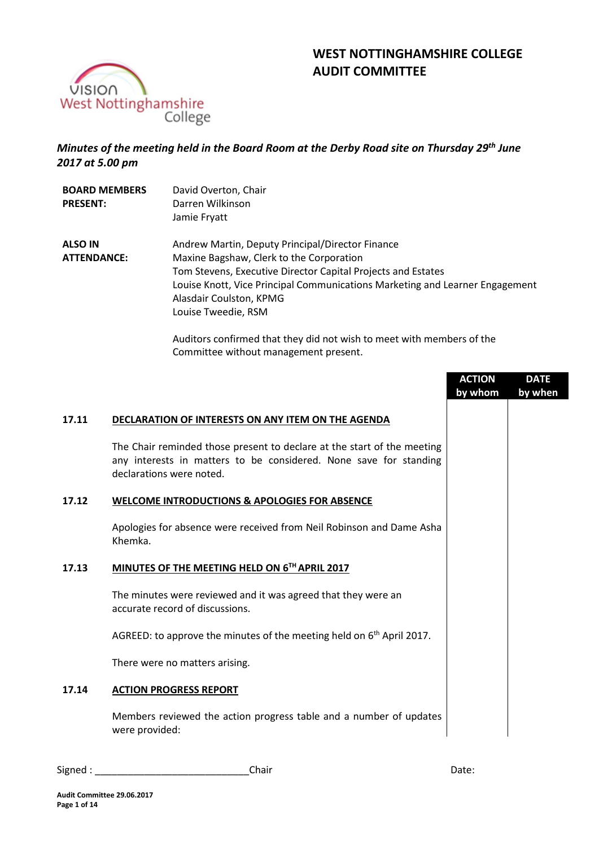



# *Minutes of the meeting held in the Board Room at the Derby Road site on Thursday 29th June 2017 at 5.00 pm*

| <b>BOARD MEMBERS</b><br><b>PRESENT:</b> | David Overton, Chair<br>Darren Wilkinson<br>Jamie Fryatt                                                                                                                                                                                                                                                                                                                                                         |
|-----------------------------------------|------------------------------------------------------------------------------------------------------------------------------------------------------------------------------------------------------------------------------------------------------------------------------------------------------------------------------------------------------------------------------------------------------------------|
| <b>ALSO IN</b><br><b>ATTENDANCE:</b>    | Andrew Martin, Deputy Principal/Director Finance<br>Maxine Bagshaw, Clerk to the Corporation<br>Tom Stevens, Executive Director Capital Projects and Estates<br>Louise Knott, Vice Principal Communications Marketing and Learner Engagement<br>Alasdair Coulston, KPMG<br>Louise Tweedie, RSM<br>Auditors confirmed that they did not wish to meet with members of the<br>Committee without management present. |

|       |                                                                                                                                                                          | <b>ACTION</b><br>by whom | <b>DATE</b><br>by when |
|-------|--------------------------------------------------------------------------------------------------------------------------------------------------------------------------|--------------------------|------------------------|
| 17.11 | DECLARATION OF INTERESTS ON ANY ITEM ON THE AGENDA                                                                                                                       |                          |                        |
|       | The Chair reminded those present to declare at the start of the meeting<br>any interests in matters to be considered. None save for standing<br>declarations were noted. |                          |                        |
| 17.12 | <b>WELCOME INTRODUCTIONS &amp; APOLOGIES FOR ABSENCE</b>                                                                                                                 |                          |                        |
|       | Apologies for absence were received from Neil Robinson and Dame Asha<br>Khemka.                                                                                          |                          |                        |
| 17.13 | MINUTES OF THE MEETING HELD ON 6TH APRIL 2017                                                                                                                            |                          |                        |
|       | The minutes were reviewed and it was agreed that they were an<br>accurate record of discussions.                                                                         |                          |                        |
|       | AGREED: to approve the minutes of the meeting held on $6th$ April 2017.                                                                                                  |                          |                        |
|       | There were no matters arising.                                                                                                                                           |                          |                        |
| 17.14 | <b>ACTION PROGRESS REPORT</b>                                                                                                                                            |                          |                        |
|       | Members reviewed the action progress table and a number of updates<br>were provided:                                                                                     |                          |                        |

Signed : \_\_\_\_\_\_\_\_\_\_\_\_\_\_\_\_\_\_\_\_\_\_\_\_\_\_\_\_Chair Date: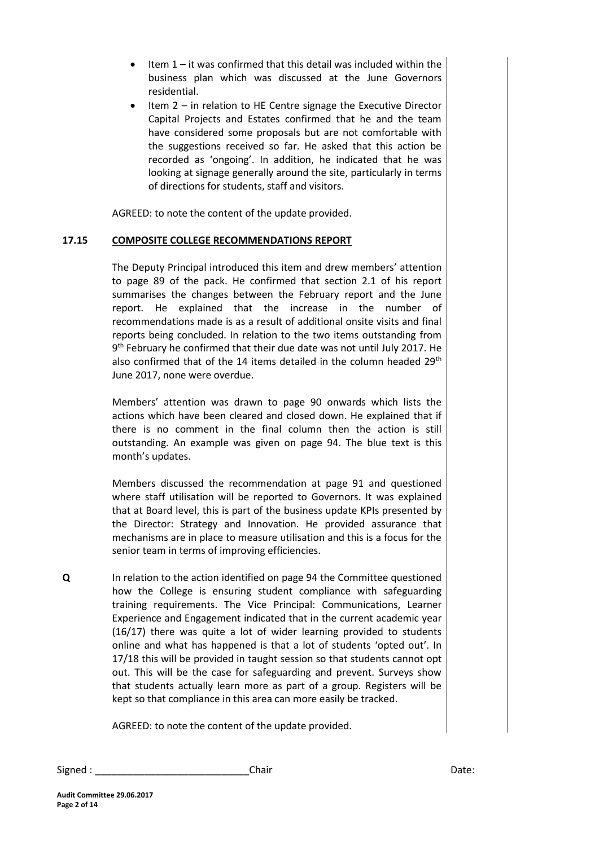- Item 1 it was confirmed that this detail was included within the business plan which was discussed at the June Governors residential.
- Item 2 in relation to HE Centre signage the Executive Director Capital Projects and Estates confirmed that he and the team have considered some proposals but are not comfortable with the suggestions received so far. He asked that this action be recorded as 'ongoing'. In addition, he indicated that he was looking at signage generally around the site, particularly in terms of directions for students, staff and visitors.

AGREED: to note the content of the update provided.

#### **17.15 COMPOSITE COLLEGE RECOMMENDATIONS REPORT**

The Deputy Principal introduced this item and drew members' attention to page 89 of the pack. He confirmed that section 2.1 of his report summarises the changes between the February report and the June report. He explained that the increase in the number of recommendations made is as a result of additional onsite visits and final reports being concluded. In relation to the two items outstanding from 9<sup>th</sup> February he confirmed that their due date was not until July 2017. He also confirmed that of the 14 items detailed in the column headed 29<sup>th</sup> June 2017, none were overdue.

Members' attention was drawn to page 90 onwards which lists the actions which have been cleared and closed down. He explained that if there is no comment in the final column then the action is still outstanding. An example was given on page 94. The blue text is this month's updates.

Members discussed the recommendation at page 91 and questioned where staff utilisation will be reported to Governors. It was explained that at Board level, this is part of the business update KPIs presented by the Director: Strategy and Innovation. He provided assurance that mechanisms are in place to measure utilisation and this is a focus for the senior team in terms of improving efficiencies.

**Q** In relation to the action identified on page 94 the Committee questioned how the College is ensuring student compliance with safeguarding training requirements. The Vice Principal: Communications, Learner Experience and Engagement indicated that in the current academic year (16/17) there was quite a lot of wider learning provided to students online and what has happened is that a lot of students 'opted out'. In 17/18 this will be provided in taught session so that students cannot opt out. This will be the case for safeguarding and prevent. Surveys show that students actually learn more as part of a group. Registers will be kept so that compliance in this area can more easily be tracked.

AGREED: to note the content of the update provided.

| Signed | Chair | Date: |
|--------|-------|-------|
|--------|-------|-------|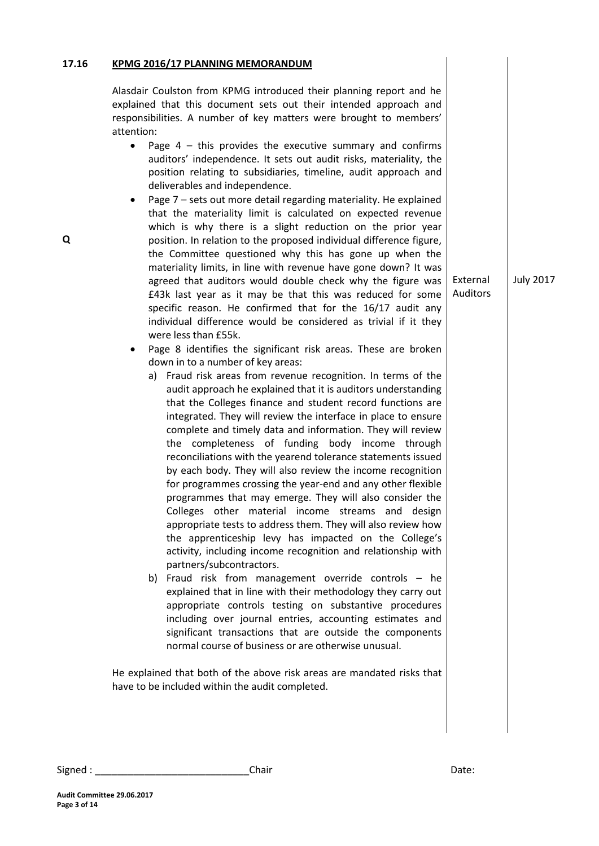# **17.16 Q KPMG 2016/17 PLANNING MEMORANDUM**  Alasdair Coulston from KPMG introduced their planning report and he explained that this document sets out their intended approach and responsibilities. A number of key matters were brought to members' attention: • Page  $4$  – this provides the executive summary and confirms auditors' independence. It sets out audit risks, materiality, the position relating to subsidiaries, timeline, audit approach and deliverables and independence. Page 7 – sets out more detail regarding materiality. He explained that the materiality limit is calculated on expected revenue which is why there is a slight reduction on the prior year position. In relation to the proposed individual difference figure, the Committee questioned why this has gone up when the materiality limits, in line with revenue have gone down? It was agreed that auditors would double check why the figure was £43k last year as it may be that this was reduced for some specific reason. He confirmed that for the 16/17 audit any individual difference would be considered as trivial if it they were less than £55k. Page 8 identifies the significant risk areas. These are broken down in to a number of key areas: a) Fraud risk areas from revenue recognition. In terms of the audit approach he explained that it is auditors understanding that the Colleges finance and student record functions are integrated. They will review the interface in place to ensure complete and timely data and information. They will review the completeness of funding body income through reconciliations with the yearend tolerance statements issued by each body. They will also review the income recognition for programmes crossing the year-end and any other flexible programmes that may emerge. They will also consider the Colleges other material income streams and design appropriate tests to address them. They will also review how the apprenticeship levy has impacted on the College's activity, including income recognition and relationship with partners/subcontractors. b) Fraud risk from management override controls – he explained that in line with their methodology they carry out appropriate controls testing on substantive procedures including over journal entries, accounting estimates and significant transactions that are outside the components normal course of business or are otherwise unusual. He explained that both of the above risk areas are mandated risks that have to be included within the audit completed. External Auditors July 2017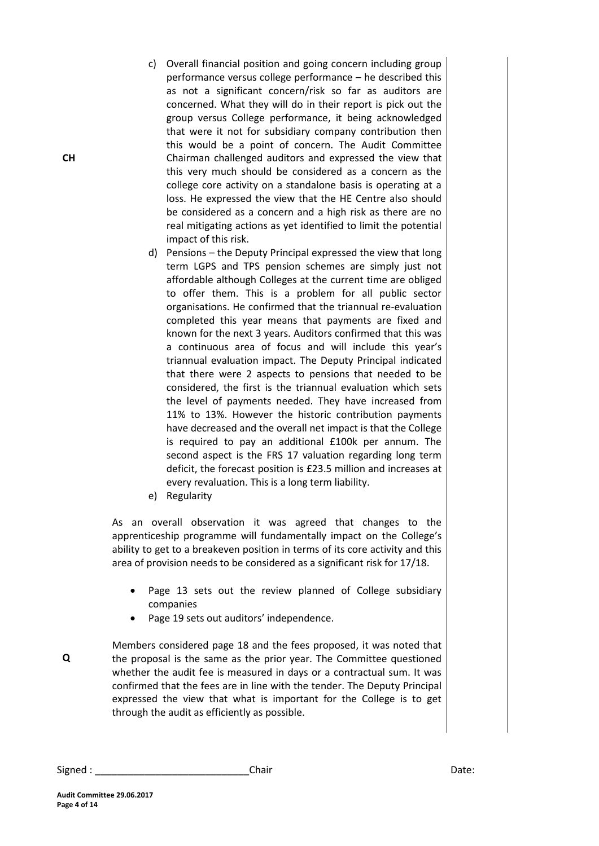- c) Overall financial position and going concern including group performance versus college performance – he described this as not a significant concern/risk so far as auditors are concerned. What they will do in their report is pick out the group versus College performance, it being acknowledged that were it not for subsidiary company contribution then this would be a point of concern. The Audit Committee Chairman challenged auditors and expressed the view that this very much should be considered as a concern as the college core activity on a standalone basis is operating at a loss. He expressed the view that the HE Centre also should be considered as a concern and a high risk as there are no real mitigating actions as yet identified to limit the potential impact of this risk.
- d) Pensions the Deputy Principal expressed the view that long term LGPS and TPS pension schemes are simply just not affordable although Colleges at the current time are obliged to offer them. This is a problem for all public sector organisations. He confirmed that the triannual re-evaluation completed this year means that payments are fixed and known for the next 3 years. Auditors confirmed that this was a continuous area of focus and will include this year's triannual evaluation impact. The Deputy Principal indicated that there were 2 aspects to pensions that needed to be considered, the first is the triannual evaluation which sets the level of payments needed. They have increased from 11% to 13%. However the historic contribution payments have decreased and the overall net impact is that the College is required to pay an additional £100k per annum. The second aspect is the FRS 17 valuation regarding long term deficit, the forecast position is £23.5 million and increases at every revaluation. This is a long term liability.
- e) Regularity

As an overall observation it was agreed that changes to the apprenticeship programme will fundamentally impact on the College's ability to get to a breakeven position in terms of its core activity and this area of provision needs to be considered as a significant risk for 17/18.

- Page 13 sets out the review planned of College subsidiary companies
- Page 19 sets out auditors' independence.

Members considered page 18 and the fees proposed, it was noted that the proposal is the same as the prior year. The Committee questioned whether the audit fee is measured in days or a contractual sum. It was confirmed that the fees are in line with the tender. The Deputy Principal expressed the view that what is important for the College is to get through the audit as efficiently as possible.

**CH**

**Audit Committee 29.06.2017 Page 4 of 14**

**Q**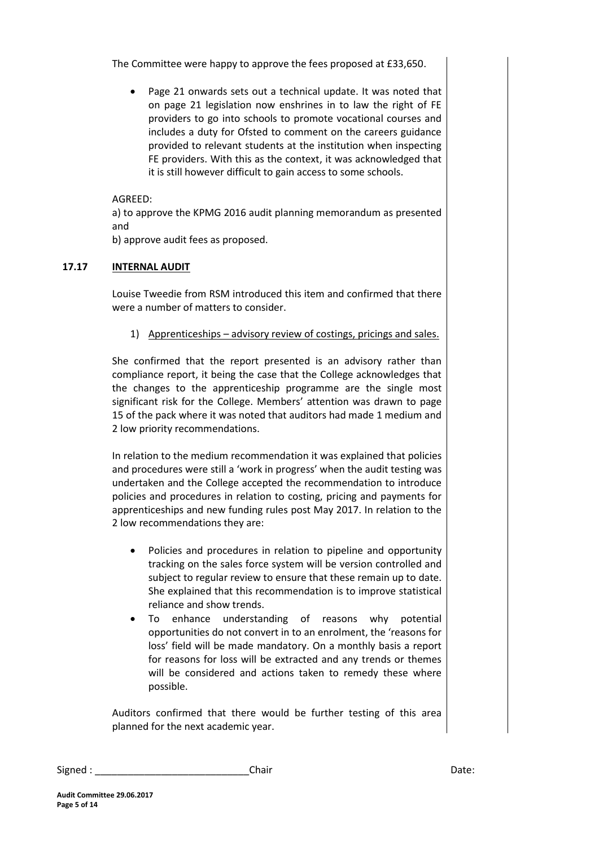The Committee were happy to approve the fees proposed at £33,650.

 Page 21 onwards sets out a technical update. It was noted that on page 21 legislation now enshrines in to law the right of FE providers to go into schools to promote vocational courses and includes a duty for Ofsted to comment on the careers guidance provided to relevant students at the institution when inspecting FE providers. With this as the context, it was acknowledged that it is still however difficult to gain access to some schools.

## AGREED:

a) to approve the KPMG 2016 audit planning memorandum as presented and

b) approve audit fees as proposed.

## **17.17 INTERNAL AUDIT**

Louise Tweedie from RSM introduced this item and confirmed that there were a number of matters to consider.

1) Apprenticeships – advisory review of costings, pricings and sales.

She confirmed that the report presented is an advisory rather than compliance report, it being the case that the College acknowledges that the changes to the apprenticeship programme are the single most significant risk for the College. Members' attention was drawn to page 15 of the pack where it was noted that auditors had made 1 medium and 2 low priority recommendations.

In relation to the medium recommendation it was explained that policies and procedures were still a 'work in progress' when the audit testing was undertaken and the College accepted the recommendation to introduce policies and procedures in relation to costing, pricing and payments for apprenticeships and new funding rules post May 2017. In relation to the 2 low recommendations they are:

- Policies and procedures in relation to pipeline and opportunity tracking on the sales force system will be version controlled and subject to regular review to ensure that these remain up to date. She explained that this recommendation is to improve statistical reliance and show trends.
- To enhance understanding of reasons why potential opportunities do not convert in to an enrolment, the 'reasons for loss' field will be made mandatory. On a monthly basis a report for reasons for loss will be extracted and any trends or themes will be considered and actions taken to remedy these where possible.

Auditors confirmed that there would be further testing of this area planned for the next academic year.

| Signed | Chair | Date: |
|--------|-------|-------|
|--------|-------|-------|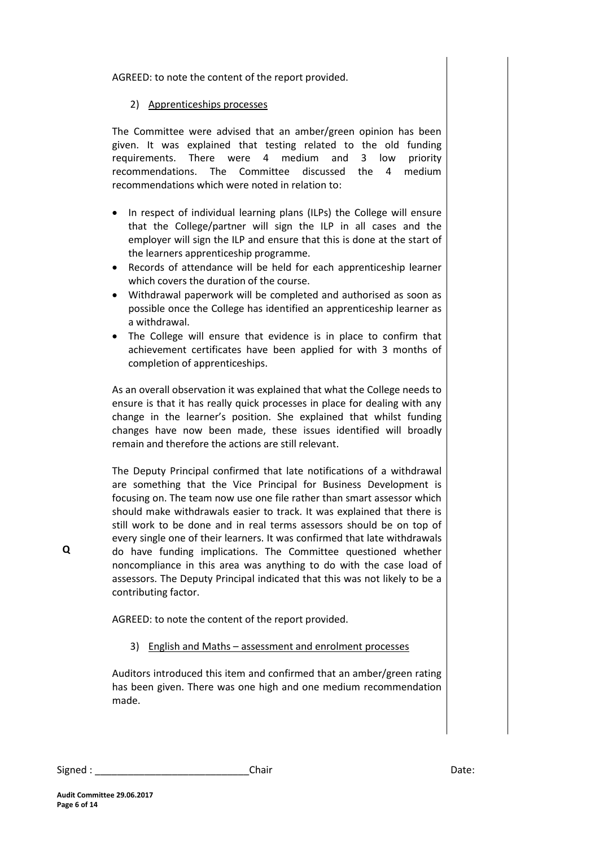AGREED: to note the content of the report provided.

# 2) Apprenticeships processes

The Committee were advised that an amber/green opinion has been given. It was explained that testing related to the old funding requirements. There were 4 medium and 3 low priority recommendations. The Committee discussed the 4 medium recommendations which were noted in relation to:

- In respect of individual learning plans (ILPs) the College will ensure that the College/partner will sign the ILP in all cases and the employer will sign the ILP and ensure that this is done at the start of the learners apprenticeship programme.
- Records of attendance will be held for each apprenticeship learner which covers the duration of the course.
- Withdrawal paperwork will be completed and authorised as soon as possible once the College has identified an apprenticeship learner as a withdrawal.
- The College will ensure that evidence is in place to confirm that achievement certificates have been applied for with 3 months of completion of apprenticeships.

As an overall observation it was explained that what the College needs to ensure is that it has really quick processes in place for dealing with any change in the learner's position. She explained that whilst funding changes have now been made, these issues identified will broadly remain and therefore the actions are still relevant.

The Deputy Principal confirmed that late notifications of a withdrawal are something that the Vice Principal for Business Development is focusing on. The team now use one file rather than smart assessor which should make withdrawals easier to track. It was explained that there is still work to be done and in real terms assessors should be on top of every single one of their learners. It was confirmed that late withdrawals do have funding implications. The Committee questioned whether noncompliance in this area was anything to do with the case load of assessors. The Deputy Principal indicated that this was not likely to be a contributing factor.

AGREED: to note the content of the report provided.

3) English and Maths – assessment and enrolment processes

Auditors introduced this item and confirmed that an amber/green rating has been given. There was one high and one medium recommendation made.

**Q**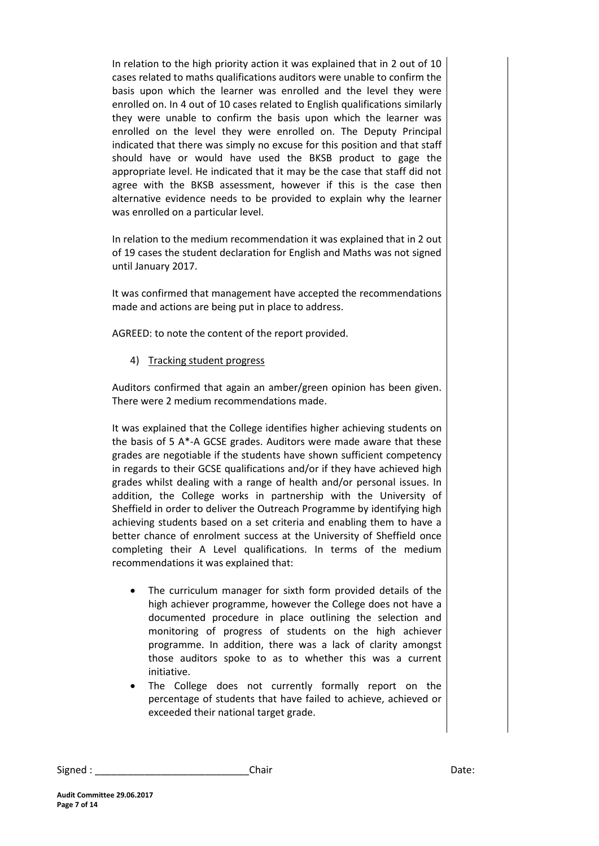In relation to the high priority action it was explained that in 2 out of 10 cases related to maths qualifications auditors were unable to confirm the basis upon which the learner was enrolled and the level they were enrolled on. In 4 out of 10 cases related to English qualifications similarly they were unable to confirm the basis upon which the learner was enrolled on the level they were enrolled on. The Deputy Principal indicated that there was simply no excuse for this position and that staff should have or would have used the BKSB product to gage the appropriate level. He indicated that it may be the case that staff did not agree with the BKSB assessment, however if this is the case then alternative evidence needs to be provided to explain why the learner was enrolled on a particular level.

In relation to the medium recommendation it was explained that in 2 out of 19 cases the student declaration for English and Maths was not signed until January 2017.

It was confirmed that management have accepted the recommendations made and actions are being put in place to address.

AGREED: to note the content of the report provided.

4) Tracking student progress

Auditors confirmed that again an amber/green opinion has been given. There were 2 medium recommendations made.

It was explained that the College identifies higher achieving students on the basis of 5 A\*-A GCSE grades. Auditors were made aware that these grades are negotiable if the students have shown sufficient competency in regards to their GCSE qualifications and/or if they have achieved high grades whilst dealing with a range of health and/or personal issues. In addition, the College works in partnership with the University of Sheffield in order to deliver the Outreach Programme by identifying high achieving students based on a set criteria and enabling them to have a better chance of enrolment success at the University of Sheffield once completing their A Level qualifications. In terms of the medium recommendations it was explained that:

- The curriculum manager for sixth form provided details of the high achiever programme, however the College does not have a documented procedure in place outlining the selection and monitoring of progress of students on the high achiever programme. In addition, there was a lack of clarity amongst those auditors spoke to as to whether this was a current initiative.
- The College does not currently formally report on the percentage of students that have failed to achieve, achieved or exceeded their national target grade.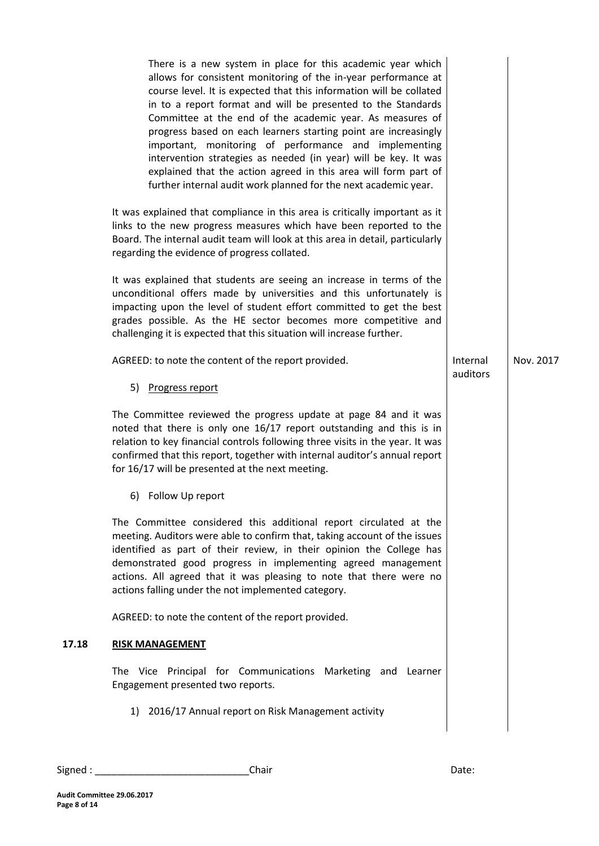There is a new system in place for this academic year which allows for consistent monitoring of the in-year performance at course level. It is expected that this information will be collated in to a report format and will be presented to the Standards Committee at the end of the academic year. As measures of progress based on each learners starting point are increasingly important, monitoring of performance and implementing intervention strategies as needed (in year) will be key. It was explained that the action agreed in this area will form part of further internal audit work planned for the next academic year.

It was explained that compliance in this area is critically important as it links to the new progress measures which have been reported to the Board. The internal audit team will look at this area in detail, particularly regarding the evidence of progress collated.

It was explained that students are seeing an increase in terms of the unconditional offers made by universities and this unfortunately is impacting upon the level of student effort committed to get the best grades possible. As the HE sector becomes more competitive and challenging it is expected that this situation will increase further.

| AGREED: to note the content of the report provided.                                                                                                                                                                                                                                                                                                                                                                  | Internal<br>auditors | Nov. 2017 |
|----------------------------------------------------------------------------------------------------------------------------------------------------------------------------------------------------------------------------------------------------------------------------------------------------------------------------------------------------------------------------------------------------------------------|----------------------|-----------|
| 5) Progress report                                                                                                                                                                                                                                                                                                                                                                                                   |                      |           |
| The Committee reviewed the progress update at page 84 and it was<br>noted that there is only one 16/17 report outstanding and this is in<br>relation to key financial controls following three visits in the year. It was<br>confirmed that this report, together with internal auditor's annual report<br>for 16/17 will be presented at the next meeting.                                                          |                      |           |
| 6) Follow Up report                                                                                                                                                                                                                                                                                                                                                                                                  |                      |           |
| The Committee considered this additional report circulated at the<br>meeting. Auditors were able to confirm that, taking account of the issues<br>identified as part of their review, in their opinion the College has<br>demonstrated good progress in implementing agreed management<br>actions. All agreed that it was pleasing to note that there were no<br>actions falling under the not implemented category. |                      |           |
| AGREED: to note the content of the report provided.                                                                                                                                                                                                                                                                                                                                                                  |                      |           |
| <b>RISK MANAGEMENT</b>                                                                                                                                                                                                                                                                                                                                                                                               |                      |           |
| The Vice Principal for Communications Marketing and Learner<br>Engagement presented two reports.                                                                                                                                                                                                                                                                                                                     |                      |           |
| 1) 2016/17 Annual report on Risk Management activity                                                                                                                                                                                                                                                                                                                                                                 |                      |           |
|                                                                                                                                                                                                                                                                                                                                                                                                                      |                      |           |

**17.18 RISK MANAGEMENT**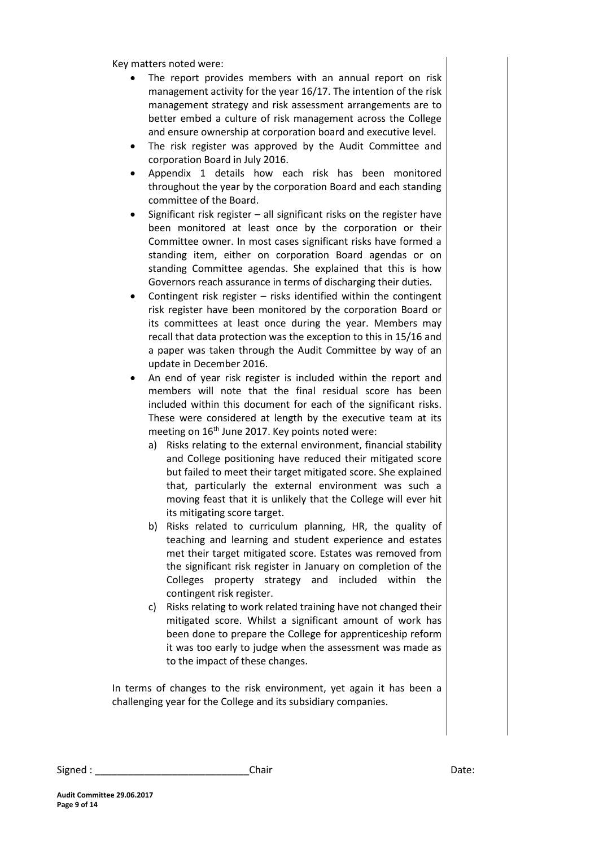Key matters noted were:

- The report provides members with an annual report on risk management activity for the year 16/17. The intention of the risk management strategy and risk assessment arrangements are to better embed a culture of risk management across the College and ensure ownership at corporation board and executive level.
- The risk register was approved by the Audit Committee and corporation Board in July 2016.
- Appendix 1 details how each risk has been monitored throughout the year by the corporation Board and each standing committee of the Board.
- Significant risk register all significant risks on the register have been monitored at least once by the corporation or their Committee owner. In most cases significant risks have formed a standing item, either on corporation Board agendas or on standing Committee agendas. She explained that this is how Governors reach assurance in terms of discharging their duties.
- Contingent risk register risks identified within the contingent risk register have been monitored by the corporation Board or its committees at least once during the year. Members may recall that data protection was the exception to this in 15/16 and a paper was taken through the Audit Committee by way of an update in December 2016.
- An end of year risk register is included within the report and members will note that the final residual score has been included within this document for each of the significant risks. These were considered at length by the executive team at its meeting on 16<sup>th</sup> June 2017. Key points noted were:
	- a) Risks relating to the external environment, financial stability and College positioning have reduced their mitigated score but failed to meet their target mitigated score. She explained that, particularly the external environment was such a moving feast that it is unlikely that the College will ever hit its mitigating score target.
	- b) Risks related to curriculum planning, HR, the quality of teaching and learning and student experience and estates met their target mitigated score. Estates was removed from the significant risk register in January on completion of the Colleges property strategy and included within the contingent risk register.
	- c) Risks relating to work related training have not changed their mitigated score. Whilst a significant amount of work has been done to prepare the College for apprenticeship reform it was too early to judge when the assessment was made as to the impact of these changes.

In terms of changes to the risk environment, yet again it has been a challenging year for the College and its subsidiary companies.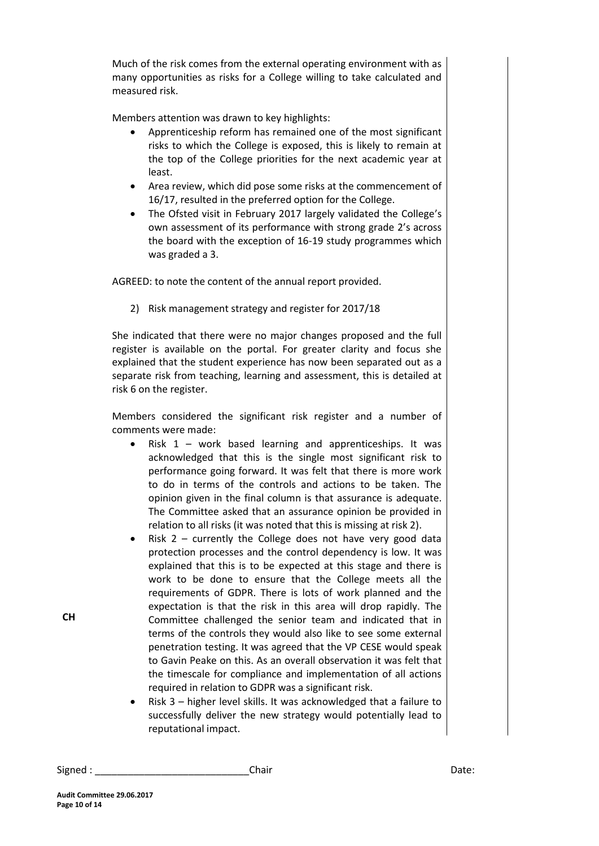Much of the risk comes from the external operating environment with as many opportunities as risks for a College willing to take calculated and measured risk.

Members attention was drawn to key highlights:

- Apprenticeship reform has remained one of the most significant risks to which the College is exposed, this is likely to remain at the top of the College priorities for the next academic year at least.
- Area review, which did pose some risks at the commencement of 16/17, resulted in the preferred option for the College.
- The Ofsted visit in February 2017 largely validated the College's own assessment of its performance with strong grade 2's across the board with the exception of 16-19 study programmes which was graded a 3.

AGREED: to note the content of the annual report provided.

2) Risk management strategy and register for 2017/18

She indicated that there were no major changes proposed and the full register is available on the portal. For greater clarity and focus she explained that the student experience has now been separated out as a separate risk from teaching, learning and assessment, this is detailed at risk 6 on the register.

Members considered the significant risk register and a number of comments were made:

- Risk 1 work based learning and apprenticeships. It was acknowledged that this is the single most significant risk to performance going forward. It was felt that there is more work to do in terms of the controls and actions to be taken. The opinion given in the final column is that assurance is adequate. The Committee asked that an assurance opinion be provided in relation to all risks (it was noted that this is missing at risk 2).
- Risk 2 currently the College does not have very good data protection processes and the control dependency is low. It was explained that this is to be expected at this stage and there is work to be done to ensure that the College meets all the requirements of GDPR. There is lots of work planned and the expectation is that the risk in this area will drop rapidly. The Committee challenged the senior team and indicated that in terms of the controls they would also like to see some external penetration testing. It was agreed that the VP CESE would speak to Gavin Peake on this. As an overall observation it was felt that the timescale for compliance and implementation of all actions required in relation to GDPR was a significant risk.
- Risk 3 higher level skills. It was acknowledged that a failure to successfully deliver the new strategy would potentially lead to reputational impact.

| Signed : | Chair | Date: |
|----------|-------|-------|
|----------|-------|-------|

**CH**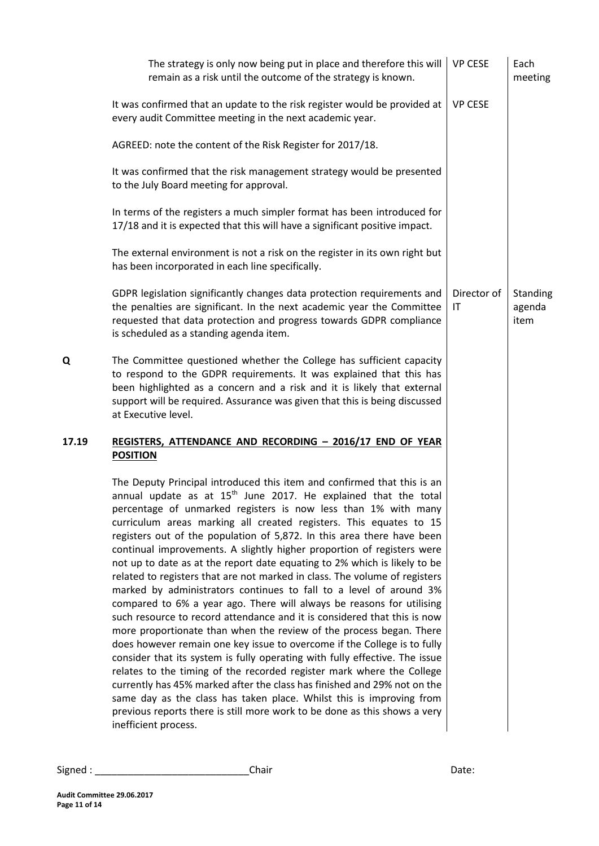|       | The strategy is only now being put in place and therefore this will<br>remain as a risk until the outcome of the strategy is known.                                                                                                                                                                                                                                                                                                                                                                                                                                                                                                                                                                                                                                                                                                                                                                                                                                                                                                                                                                                                                                                                                                                                                                                                                                                                          | <b>VP CESE</b>    | Each<br>meeting            |
|-------|--------------------------------------------------------------------------------------------------------------------------------------------------------------------------------------------------------------------------------------------------------------------------------------------------------------------------------------------------------------------------------------------------------------------------------------------------------------------------------------------------------------------------------------------------------------------------------------------------------------------------------------------------------------------------------------------------------------------------------------------------------------------------------------------------------------------------------------------------------------------------------------------------------------------------------------------------------------------------------------------------------------------------------------------------------------------------------------------------------------------------------------------------------------------------------------------------------------------------------------------------------------------------------------------------------------------------------------------------------------------------------------------------------------|-------------------|----------------------------|
|       | It was confirmed that an update to the risk register would be provided at<br>every audit Committee meeting in the next academic year.                                                                                                                                                                                                                                                                                                                                                                                                                                                                                                                                                                                                                                                                                                                                                                                                                                                                                                                                                                                                                                                                                                                                                                                                                                                                        | <b>VP CESE</b>    |                            |
|       | AGREED: note the content of the Risk Register for 2017/18.                                                                                                                                                                                                                                                                                                                                                                                                                                                                                                                                                                                                                                                                                                                                                                                                                                                                                                                                                                                                                                                                                                                                                                                                                                                                                                                                                   |                   |                            |
|       | It was confirmed that the risk management strategy would be presented<br>to the July Board meeting for approval.                                                                                                                                                                                                                                                                                                                                                                                                                                                                                                                                                                                                                                                                                                                                                                                                                                                                                                                                                                                                                                                                                                                                                                                                                                                                                             |                   |                            |
|       | In terms of the registers a much simpler format has been introduced for<br>17/18 and it is expected that this will have a significant positive impact.                                                                                                                                                                                                                                                                                                                                                                                                                                                                                                                                                                                                                                                                                                                                                                                                                                                                                                                                                                                                                                                                                                                                                                                                                                                       |                   |                            |
|       | The external environment is not a risk on the register in its own right but<br>has been incorporated in each line specifically.                                                                                                                                                                                                                                                                                                                                                                                                                                                                                                                                                                                                                                                                                                                                                                                                                                                                                                                                                                                                                                                                                                                                                                                                                                                                              |                   |                            |
|       | GDPR legislation significantly changes data protection requirements and<br>the penalties are significant. In the next academic year the Committee<br>requested that data protection and progress towards GDPR compliance<br>is scheduled as a standing agenda item.                                                                                                                                                                                                                                                                                                                                                                                                                                                                                                                                                                                                                                                                                                                                                                                                                                                                                                                                                                                                                                                                                                                                          | Director of<br>IT | Standing<br>agenda<br>item |
| Q     | The Committee questioned whether the College has sufficient capacity<br>to respond to the GDPR requirements. It was explained that this has<br>been highlighted as a concern and a risk and it is likely that external<br>support will be required. Assurance was given that this is being discussed<br>at Executive level.                                                                                                                                                                                                                                                                                                                                                                                                                                                                                                                                                                                                                                                                                                                                                                                                                                                                                                                                                                                                                                                                                  |                   |                            |
| 17.19 | REGISTERS, ATTENDANCE AND RECORDING - 2016/17 END OF YEAR<br><b>POSITION</b>                                                                                                                                                                                                                                                                                                                                                                                                                                                                                                                                                                                                                                                                                                                                                                                                                                                                                                                                                                                                                                                                                                                                                                                                                                                                                                                                 |                   |                            |
|       | The Deputy Principal introduced this item and confirmed that this is an<br>annual update as at 15 <sup>th</sup> June 2017. He explained that the total<br>percentage of unmarked registers is now less than 1% with many<br>curriculum areas marking all created registers. This equates to 15<br>registers out of the population of 5,872. In this area there have been<br>continual improvements. A slightly higher proportion of registers were<br>not up to date as at the report date equating to 2% which is likely to be<br>related to registers that are not marked in class. The volume of registers<br>marked by administrators continues to fall to a level of around 3%<br>compared to 6% a year ago. There will always be reasons for utilising<br>such resource to record attendance and it is considered that this is now<br>more proportionate than when the review of the process began. There<br>does however remain one key issue to overcome if the College is to fully<br>consider that its system is fully operating with fully effective. The issue<br>relates to the timing of the recorded register mark where the College<br>currently has 45% marked after the class has finished and 29% not on the<br>same day as the class has taken place. Whilst this is improving from<br>previous reports there is still more work to be done as this shows a very<br>inefficient process. |                   |                            |

| Signed | Jhair<br>_____ | ydlu. |
|--------|----------------|-------|
|--------|----------------|-------|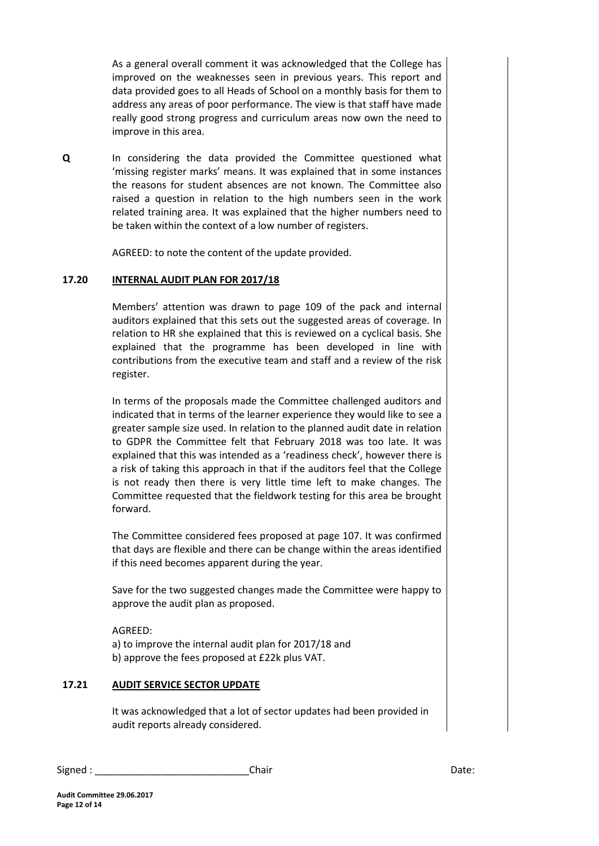As a general overall comment it was acknowledged that the College has improved on the weaknesses seen in previous years. This report and data provided goes to all Heads of School on a monthly basis for them to address any areas of poor performance. The view is that staff have made really good strong progress and curriculum areas now own the need to improve in this area.

**Q** In considering the data provided the Committee questioned what 'missing register marks' means. It was explained that in some instances the reasons for student absences are not known. The Committee also raised a question in relation to the high numbers seen in the work related training area. It was explained that the higher numbers need to be taken within the context of a low number of registers.

AGREED: to note the content of the update provided.

#### **17.20 INTERNAL AUDIT PLAN FOR 2017/18**

Members' attention was drawn to page 109 of the pack and internal auditors explained that this sets out the suggested areas of coverage. In relation to HR she explained that this is reviewed on a cyclical basis. She explained that the programme has been developed in line with contributions from the executive team and staff and a review of the risk register.

In terms of the proposals made the Committee challenged auditors and indicated that in terms of the learner experience they would like to see a greater sample size used. In relation to the planned audit date in relation to GDPR the Committee felt that February 2018 was too late. It was explained that this was intended as a 'readiness check', however there is a risk of taking this approach in that if the auditors feel that the College is not ready then there is very little time left to make changes. The Committee requested that the fieldwork testing for this area be brought forward.

The Committee considered fees proposed at page 107. It was confirmed that days are flexible and there can be change within the areas identified if this need becomes apparent during the year.

Save for the two suggested changes made the Committee were happy to approve the audit plan as proposed.

AGREED: a) to improve the internal audit plan for 2017/18 and b) approve the fees proposed at £22k plus VAT.

#### **17.21 AUDIT SERVICE SECTOR UPDATE**

It was acknowledged that a lot of sector updates had been provided in audit reports already considered.

Signed : \_\_\_\_\_\_\_\_\_\_\_\_\_\_\_\_\_\_\_\_\_\_\_\_\_\_\_\_Chair Date: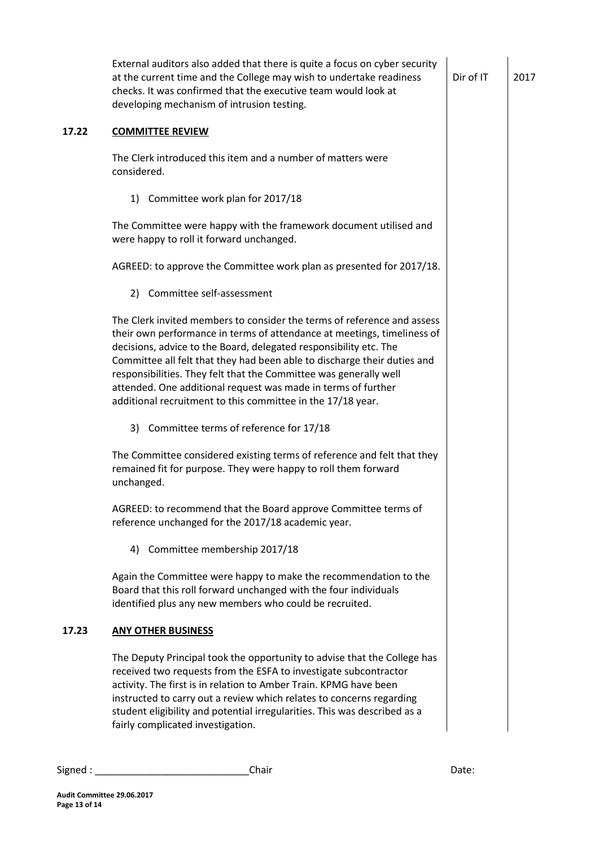|       | External auditors also added that there is quite a focus on cyber security<br>at the current time and the College may wish to undertake readiness<br>checks. It was confirmed that the executive team would look at<br>developing mechanism of intrusion testing.                                                                                                                                                                                                                                        | Dir of IT | 2017 |
|-------|----------------------------------------------------------------------------------------------------------------------------------------------------------------------------------------------------------------------------------------------------------------------------------------------------------------------------------------------------------------------------------------------------------------------------------------------------------------------------------------------------------|-----------|------|
| 17.22 | <b>COMMITTEE REVIEW</b>                                                                                                                                                                                                                                                                                                                                                                                                                                                                                  |           |      |
|       | The Clerk introduced this item and a number of matters were<br>considered.                                                                                                                                                                                                                                                                                                                                                                                                                               |           |      |
|       | 1) Committee work plan for 2017/18                                                                                                                                                                                                                                                                                                                                                                                                                                                                       |           |      |
|       | The Committee were happy with the framework document utilised and<br>were happy to roll it forward unchanged.                                                                                                                                                                                                                                                                                                                                                                                            |           |      |
|       | AGREED: to approve the Committee work plan as presented for 2017/18.                                                                                                                                                                                                                                                                                                                                                                                                                                     |           |      |
|       | 2) Committee self-assessment                                                                                                                                                                                                                                                                                                                                                                                                                                                                             |           |      |
|       | The Clerk invited members to consider the terms of reference and assess<br>their own performance in terms of attendance at meetings, timeliness of<br>decisions, advice to the Board, delegated responsibility etc. The<br>Committee all felt that they had been able to discharge their duties and<br>responsibilities. They felt that the Committee was generally well<br>attended. One additional request was made in terms of further<br>additional recruitment to this committee in the 17/18 year. |           |      |
|       | 3) Committee terms of reference for 17/18                                                                                                                                                                                                                                                                                                                                                                                                                                                                |           |      |
|       | The Committee considered existing terms of reference and felt that they<br>remained fit for purpose. They were happy to roll them forward<br>unchanged.                                                                                                                                                                                                                                                                                                                                                  |           |      |
|       | AGREED: to recommend that the Board approve Committee terms of<br>reference unchanged for the 2017/18 academic year.                                                                                                                                                                                                                                                                                                                                                                                     |           |      |
|       | 4) Committee membership 2017/18                                                                                                                                                                                                                                                                                                                                                                                                                                                                          |           |      |
|       | Again the Committee were happy to make the recommendation to the<br>Board that this roll forward unchanged with the four individuals<br>identified plus any new members who could be recruited.                                                                                                                                                                                                                                                                                                          |           |      |
| 17.23 | <b>ANY OTHER BUSINESS</b>                                                                                                                                                                                                                                                                                                                                                                                                                                                                                |           |      |
|       | The Deputy Principal took the opportunity to advise that the College has<br>received two requests from the ESFA to investigate subcontractor<br>activity. The first is in relation to Amber Train. KPMG have been<br>instructed to carry out a review which relates to concerns regarding<br>student eligibility and potential irregularities. This was described as a<br>fairly complicated investigation.                                                                                              |           |      |
|       |                                                                                                                                                                                                                                                                                                                                                                                                                                                                                                          |           |      |

| Signed . | Chair | Date: |
|----------|-------|-------|
|----------|-------|-------|